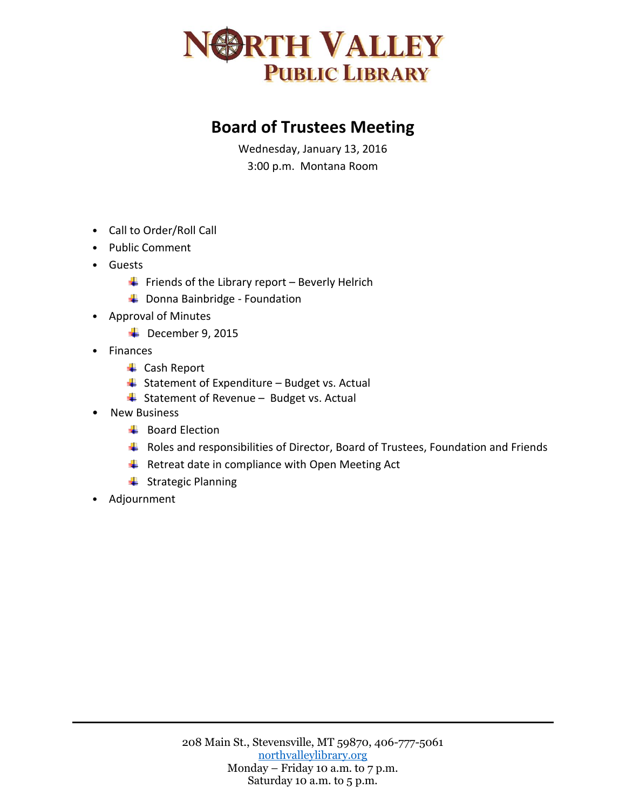

## **Board of Trustees Meeting**

Wednesday, January 13, 2016 3:00 p.m. Montana Room

- Call to Order/Roll Call
- Public Comment
- Guests
	- $\downarrow$  Friends of the Library report Beverly Helrich
	- **↓** Donna Bainbridge Foundation
- Approval of Minutes
	- $\overline{\phantom{a}}$  December 9, 2015
- Finances
	- **↓** Cash Report
	- $\overline{\phantom{a}}$  Statement of Expenditure Budget vs. Actual
	- $\frac{1}{2}$  Statement of Revenue Budget vs. Actual
- New Business
	- $\overline{\phantom{a}}$  Board Election
	- $\ddot$  Roles and responsibilities of Director, Board of Trustees, Foundation and Friends
	- $\ddot{+}$  Retreat date in compliance with Open Meeting Act
	- $\leftarrow$  Strategic Planning
- Adjournment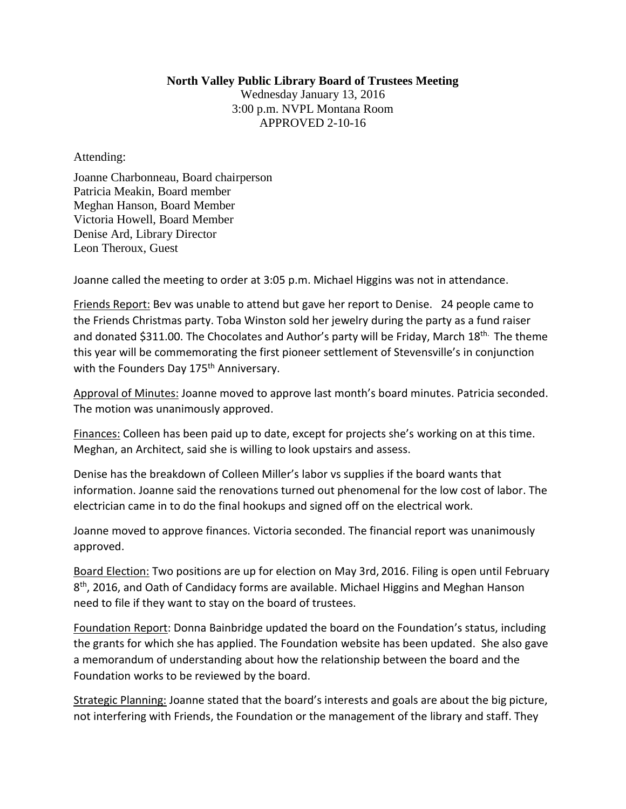## **North Valley Public Library Board of Trustees Meeting**

Wednesday January 13, 2016 3:00 p.m. NVPL Montana Room APPROVED 2-10-16

Attending:

Joanne Charbonneau, Board chairperson Patricia Meakin, Board member Meghan Hanson, Board Member Victoria Howell, Board Member Denise Ard, Library Director Leon Theroux, Guest

Joanne called the meeting to order at 3:05 p.m. Michael Higgins was not in attendance.

Friends Report: Bev was unable to attend but gave her report to Denise. 24 people came to the Friends Christmas party. Toba Winston sold her jewelry during the party as a fund raiser and donated \$311.00. The Chocolates and Author's party will be Friday, March 18<sup>th.</sup> The theme this year will be commemorating the first pioneer settlement of Stevensville's in conjunction with the Founders Day 175<sup>th</sup> Anniversary.

Approval of Minutes: Joanne moved to approve last month's board minutes. Patricia seconded. The motion was unanimously approved.

Finances: Colleen has been paid up to date, except for projects she's working on at this time. Meghan, an Architect, said she is willing to look upstairs and assess.

Denise has the breakdown of Colleen Miller's labor vs supplies if the board wants that information. Joanne said the renovations turned out phenomenal for the low cost of labor. The electrician came in to do the final hookups and signed off on the electrical work.

Joanne moved to approve finances. Victoria seconded. The financial report was unanimously approved.

Board Election: Two positions are up for election on May 3rd, 2016. Filing is open until February 8<sup>th</sup>, 2016, and Oath of Candidacy forms are available. Michael Higgins and Meghan Hanson need to file if they want to stay on the board of trustees.

Foundation Report: Donna Bainbridge updated the board on the Foundation's status, including the grants for which she has applied. The Foundation website has been updated. She also gave a memorandum of understanding about how the relationship between the board and the Foundation works to be reviewed by the board.

Strategic Planning: Joanne stated that the board's interests and goals are about the big picture, not interfering with Friends, the Foundation or the management of the library and staff. They